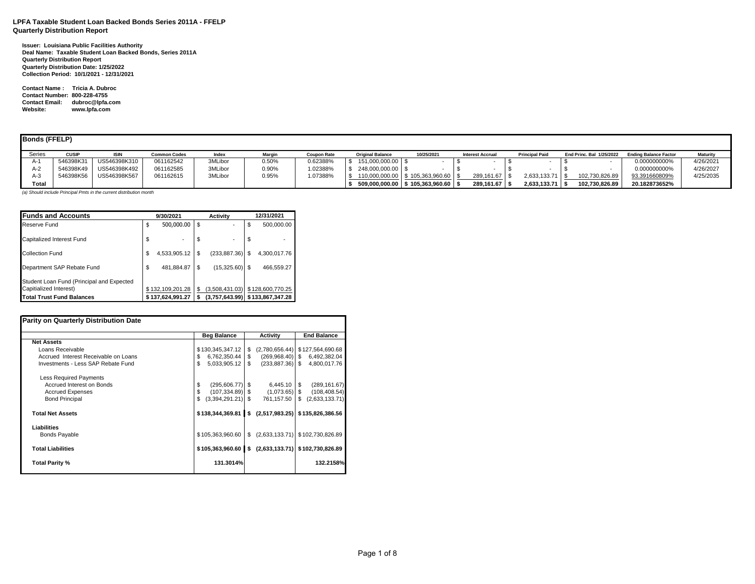# **LPFA Taxable Student Loan Backed Bonds Series 2011A - FFELP Quarterly Distribution Report**

**Issuer: Louisiana Public Facilities Authority Deal Name: Taxable Student Loan Backed Bonds, Series 2011A Quarterly Distribution Report Quarterly Distribution Date: 1/25/2022 Collection Period: 10/1/2021 - 12/31/2021**

**Contact Name : Tricia A. Dubroc Contact Number: 800-228-4755 Contact Email: dubroc@lpfa.com Website: www.lpfa.com**

| <b>Bonds (FFELP)</b> |              |              |                     |         |          |                    |                         |                                    |                         |                       |                          |                              |                 |
|----------------------|--------------|--------------|---------------------|---------|----------|--------------------|-------------------------|------------------------------------|-------------------------|-----------------------|--------------------------|------------------------------|-----------------|
| Series               | <b>CUSIF</b> | <b>ISIN</b>  | <b>Common Codes</b> | Index   | Margin   | <b>Coupon Rate</b> | <b>Original Balance</b> | 10/25/2021                         | <b>Interest Accrual</b> | <b>Principal Paid</b> | End Princ, Bal 1/25/2022 | <b>Ending Balance Factor</b> | <b>Maturity</b> |
| $A-1$                | 546398K31    | US546398K310 | 061162542           | 3MLibor | 0.50%    | 0.62388%           | 151,000,000.00 \$       |                                    |                         |                       |                          | 0.000000000%                 | 4/26/2021       |
| A-2                  | 546398K49    | US546398K492 | 061162585           | 3MLibor | $0.90\%$ | .02388%            | 248,000,000.00 \$       |                                    |                         |                       |                          | 0.000000000%                 | 4/26/2027       |
| A-3                  | 546398K56    | US546398K567 | 061162615           | 3MLibor | $0.95\%$ | .07388%            |                         | 110,000,000.00 \$ 105,363,960.60   | 289.161.67              | 2,633,133.71 \$       | 102.730.826.89           | 93.391660809%                | 4/25/2035       |
| Total                |              |              |                     |         |          |                    |                         | 509,000,000.00 \$105,363,960.60 \$ | 289.161.67 \$           | $2.633.133.71$ \ \$   | 102.730.826.89           | 20.182873652%                |                 |

*(a) Should include Principal Pmts in the current distribution month*

| <b>Funds and Accounts</b>                                                                               | 9/30/2021                          |     | <b>Activity</b>                                   |    | 12/31/2021       |
|---------------------------------------------------------------------------------------------------------|------------------------------------|-----|---------------------------------------------------|----|------------------|
| Reserve Fund                                                                                            | \$<br>500,000.00                   | \$  |                                                   | \$ | 500.000.00       |
| Capitalized Interest Fund                                                                               | \$                                 | \$  |                                                   | \$ |                  |
| Collection Fund                                                                                         | \$<br>4,533,905.12                 | \$. | (233, 887.36)                                     | £. | 4,300,017.76     |
| Department SAP Rebate Fund                                                                              | \$<br>481,884.87                   | \$  | (15,325.60)                                       |    | 466,559.27       |
| Student Loan Fund (Principal and Expected<br>Capitialized Interest)<br><b>Total Trust Fund Balances</b> | \$132,109,201.28<br>137.624.991.27 | \$  | (3,508,431.03)<br>(3,757,643.99) \$133,867,347.28 |    | \$128,600,770.25 |

| <b>Parity on Quarterly Distribution Date</b> |                          |                      |                      |
|----------------------------------------------|--------------------------|----------------------|----------------------|
|                                              | <b>Beg Balance</b>       | <b>Activity</b>      | <b>End Balance</b>   |
| <b>Net Assets</b>                            |                          |                      |                      |
| Loans Receivable                             | \$130,345,347.12         | \$<br>(2,780,656.44) | \$127,564,690.68     |
| Accrued Interest Receivable on Loans         | 6,762,350.44             | \$<br>(269,968.40)   | \$<br>6,492,382.04   |
| Investments - Less SAP Rebate Fund           | \$<br>5,033,905.12       | \$<br>(233, 887.36)  | \$<br>4,800,017.76   |
| <b>Less Required Payments</b>                |                          |                      |                      |
| Accrued Interest on Bonds                    | \$<br>$(295,606.77)$ \$  | 6,445.10             | \$<br>(289, 161.67)  |
| <b>Accrued Expenses</b>                      | \$<br>$(107, 334.89)$ \$ | (1,073.65)           | \$<br>(108, 408.54)  |
| <b>Bond Principal</b>                        | $(3,394,291.21)$ \$      | 761,157.50           | \$<br>(2,633,133.71) |
| <b>Total Net Assets</b>                      | \$138,344,369.81         | \$<br>(2,517,983.25) | \$135,826,386.56     |
| Liabilities                                  |                          |                      |                      |
| <b>Bonds Payable</b>                         | \$105,363,960.60         | \$<br>(2,633,133.71) | \$102,730,826.89     |
| <b>Total Liabilities</b>                     | \$105,363,960.60         | (2,633,133.71)<br>\$ | \$102,730,826.89     |
| Total Parity %                               | 131.3014%                |                      | 132.2158%            |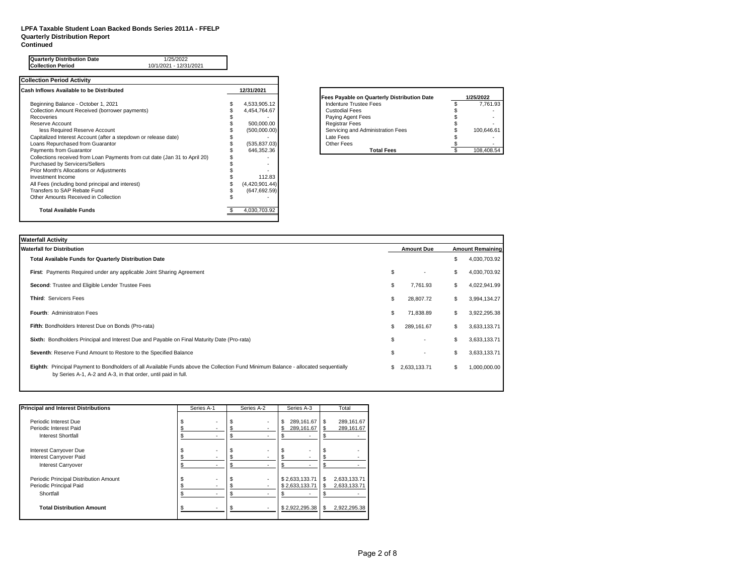### **LPFA Taxable Student Loan Backed Bonds Series 2011A - FFELP Quarterly Distribution Report Continued**

| <b>Quarterly Distribution Date</b><br>1/25/2022<br><b>Collection Period</b><br>10/1/2021 - 12/31/2021 |                |                                             |            |
|-------------------------------------------------------------------------------------------------------|----------------|---------------------------------------------|------------|
| <b>Collection Period Activity</b>                                                                     |                |                                             |            |
| Cash Inflows Available to be Distributed                                                              | 12/31/2021     |                                             |            |
|                                                                                                       |                | Fees Payable on Quarterly Distribution Date | 1/25/2022  |
| Beginning Balance - October 1, 2021                                                                   | 4,533,905.12   | Indenture Trustee Fees                      | 7.761.93   |
| Collection Amount Received (borrower payments)                                                        | 4,454,764.67   | <b>Custodial Fees</b>                       |            |
| Recoveries                                                                                            |                | Paying Agent Fees                           |            |
| Reserve Account                                                                                       | 500,000.00     | <b>Registrar Fees</b>                       |            |
| less Required Reserve Account                                                                         | (500,000.00)   | Servicing and Administration Fees           | 100,646.61 |
| Capitalized Interest Account (after a stepdown or release date)                                       |                | Late Fees                                   |            |
| Loans Repurchased from Guarantor                                                                      | (535, 837.03)  | Other Fees                                  |            |
| Payments from Guarantor                                                                               | 646,352.36     | <b>Total Fees</b>                           | 108,408.54 |
| Collections received from Loan Payments from cut date (Jan 31 to April 20)                            |                |                                             |            |
| Purchased by Servicers/Sellers                                                                        |                |                                             |            |
| Prior Month's Allocations or Adjustments                                                              |                |                                             |            |
| Investment Income                                                                                     | 112.83         |                                             |            |
| All Fees (including bond principal and interest)                                                      | (4,420,901.44) |                                             |            |
| Transfers to SAP Rebate Fund                                                                          | (647, 692.59)  |                                             |            |
| Other Amounts Received in Collection                                                                  |                |                                             |            |
| <b>Total Available Funds</b>                                                                          | 4,030,703.92   |                                             |            |

| <b>Fees Payable on Quarterly Distribution Date</b> | 1/25/2022  |
|----------------------------------------------------|------------|
| Indenture Trustee Fees                             | 7.761.93   |
| <b>Custodial Fees</b>                              |            |
| Paying Agent Fees                                  |            |
| <b>Registrar Fees</b>                              |            |
| Servicing and Administration Fees                  | 100.646.61 |
| Late Fees                                          |            |
| Other Fees                                         |            |
| Total Fees                                         |            |

| Waterfall Activity                                                                                                                                                                                   |                                |    |                         |
|------------------------------------------------------------------------------------------------------------------------------------------------------------------------------------------------------|--------------------------------|----|-------------------------|
| <b>Waterfall for Distribution</b>                                                                                                                                                                    | <b>Amount Due</b>              |    | <b>Amount Remaining</b> |
| <b>Total Available Funds for Quarterly Distribution Date</b>                                                                                                                                         |                                | \$ | 4,030,703.92            |
| <b>First:</b> Payments Required under any applicable Joint Sharing Agreement                                                                                                                         | \$<br>$\overline{\phantom{a}}$ | \$ | 4,030,703.92            |
| Second: Trustee and Eligible Lender Trustee Fees                                                                                                                                                     | \$<br>7,761.93                 | S  | 4,022,941.99            |
| Third: Servicers Fees                                                                                                                                                                                | \$<br>28,807.72                | \$ | 3,994,134.27            |
| <b>Fourth: Administraton Fees</b>                                                                                                                                                                    | \$<br>71,838.89                | S  | 3,922,295.38            |
| Fifth: Bondholders Interest Due on Bonds (Pro-rata)                                                                                                                                                  | \$<br>289,161.67               |    | 3,633,133.71            |
| Sixth: Bondholders Principal and Interest Due and Payable on Final Maturity Date (Pro-rata)                                                                                                          | \$<br>$\overline{a}$           | \$ | 3,633,133.71            |
| Seventh: Reserve Fund Amount to Restore to the Specified Balance                                                                                                                                     | \$<br>$\overline{a}$           | \$ | 3,633,133.71            |
| Eighth: Principal Payment to Bondholders of all Available Funds above the Collection Fund Minimum Balance - allocated sequentially<br>by Series A-1, A-2 and A-3, in that order, until paid in full. | \$<br>2,633,133.71             | S  | 1,000,000.00            |

| <b>Principal and Interest Distributions</b> |     | Series A-1 |   | Series A-2 |    | Series A-3     | Total |                          |  |
|---------------------------------------------|-----|------------|---|------------|----|----------------|-------|--------------------------|--|
| Periodic Interest Due                       |     |            |   | $\sim$     | S  | 289,161.67     | S     | 289,161.67               |  |
| Periodic Interest Paid                      |     | ٠          |   | ٠          | S. | 289,161.67     | S     | 289,161.67               |  |
| Interest Shortfall                          | JЪ. | ۰          | ъ | ۰          | S  |                | S     |                          |  |
| Interest Carryover Due                      |     |            |   |            |    |                |       |                          |  |
| Interest Carryover Paid                     |     |            |   |            |    |                |       | $\overline{\phantom{a}}$ |  |
| <b>Interest Carryover</b>                   |     |            |   | ۰          | S  |                |       |                          |  |
| Periodic Principal Distribution Amount      |     |            |   | ٠          |    | \$2,633,133.71 | S     | 2,633,133.71             |  |
| Periodic Principal Paid                     |     |            |   | ٠          |    | \$2.633.133.71 | S     | 2,633,133.71             |  |
| Shortfall                                   |     |            | S |            | S. |                | ъ     |                          |  |
| <b>Total Distribution Amount</b>            |     |            |   |            |    | \$2,922,295.38 | S     | 2,922,295.38             |  |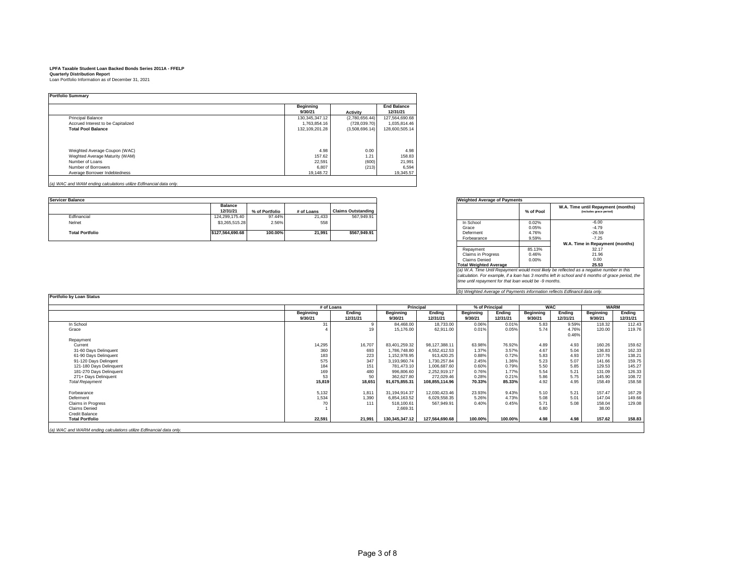|                                    | <b>Beginning</b> |                 | <b>End Balance</b> |
|------------------------------------|------------------|-----------------|--------------------|
|                                    | 9/30/21          | <b>Activity</b> | 12/31/21           |
| <b>Principal Balance</b>           | 130.345.347.12   | (2,780,656.44)  | 127,564,690.68     |
| Accrued Interest to be Capitalized | 1.763.854.16     | (728, 039.70)   | 1,035,814.46       |
| <b>Total Pool Balance</b>          | 132.109.201.28   | (3.508.696.14)  | 128.600.505.14     |
|                                    |                  |                 |                    |
| Weighted Average Coupon (WAC)      | 4.98             | 0.00            |                    |
| Weghted Average Maturity (WAM)     | 157.62           | 1.21            |                    |
| Number of Loans                    | 22,591           | (600)           | 21.991             |
| Number of Borrowers                | 6,807            | (213)           |                    |
| Average Borrower Indebtedness      | 19.148.72        |                 | 19.345.57          |

*(a) WAC and WAM ending calculations utilize Edfinancial data only.*

**Portfolio by Loan Status**

| <b>Servicer Balance</b> |                            | <b>Weighted Average of Payments</b> |            |                    |                          |                |
|-------------------------|----------------------------|-------------------------------------|------------|--------------------|--------------------------|----------------|
|                         | <b>Balance</b><br>12/31/21 | % of Portfolio                      | # of Loans | Claims Outstanding |                          | % of Pool      |
| Edfinancial             | 124.299.175.40             | 97.44%                              | 21.433     | 567.949.91         |                          |                |
| Nelnet                  | \$3,265,515.28             | 2.56%                               | 558        |                    | In School<br>Grace       | 0.02%<br>0.05% |
| <b>Total Portfolio</b>  | \$127.564.690.68           | 100.00%                             | 21.991     | \$567.949.91       | Deferment<br>Eorhearance | 4.76%<br>Q 50% |

| <b>Weighted Average of Payments</b><br>(a) W.A. Time Until Repayment would most likely be reflected as a negative number in this | % of Pool | W.A. Time until Repayment (months)<br>(includes grace period) |
|----------------------------------------------------------------------------------------------------------------------------------|-----------|---------------------------------------------------------------|
| In School                                                                                                                        | 0.02%     | $-6.00$                                                       |
| Grace                                                                                                                            | 0.05%     | $-4.79$                                                       |
| Deferment                                                                                                                        | 4.76%     | $-26.59$                                                      |
| Forbearance                                                                                                                      | 9.59%     | $-7.25$                                                       |
|                                                                                                                                  |           | W.A. Time in Repayment (months)                               |
| Repayment                                                                                                                        | 85.13%    | 32.17                                                         |
| Claims in Progress                                                                                                               | 0.46%     | 21.96                                                         |
| Claims Denied                                                                                                                    | 0.00%     | 0.00                                                          |
| <b>Total Weighted Average</b>                                                                                                    |           | 25.53                                                         |

(a) W.A. Time Until Repayment would most likely be reflected as a negative number in this<br>calculation. For example, if a loan has 3 months left in school and 6 months of grace period, the<br>time until repayment for that loan

*(b) Weighted Average of Payments information reflects Edfinancil data only.*

|                           | # of Loans       |          | Principal        |                | % of Principal   |          | <b>WAC</b>       |          |                  | <b>WARM</b> |
|---------------------------|------------------|----------|------------------|----------------|------------------|----------|------------------|----------|------------------|-------------|
|                           | <b>Beginning</b> | Ending   | <b>Beginning</b> | Ending         | <b>Beginning</b> | Ending   | <b>Beginning</b> | Ending   | <b>Beginning</b> | Ending      |
|                           | 9/30/21          | 12/31/21 | 9/30/21          | 12/31/21       | 9/30/21          | 12/31/21 | 9/30/21          | 12/31/21 | 9/30/21          | 12/31/21    |
| In School                 | 31               |          | 84.468.00        | 18,733.00      | 0.06%            | 0.01%    | 5.83             | 9.59%    | 118.32           | 112.43      |
| Grace                     |                  | 19       | 15,176.00        | 62.911.00      | 0.01%            | 0.05%    | 5.74             | 4.76%    | 120.00           | 119.76      |
|                           |                  |          |                  |                |                  |          |                  | 0.46%    |                  |             |
| Repayment                 |                  |          |                  |                |                  |          |                  |          |                  |             |
| Current                   | 14,295           | 16,707   | 83.401.259.32    | 98.127.388.11  | 63.98%           | 76.92%   | 4.89             | 4.93     | 160.26           | 159.62      |
| 31-60 Days Delinquent     | 360              | 693      | 1,786,748.80     | 4,552,412.53   | 1.37%            | 3.57%    | 4.67             | 5.04     | 136.83           | 162.33      |
| 61-90 Days Delinquent     | 183              | 223      | 1,152,978.95     | 913,420.25     | 0.88%            | 0.72%    | 5.83             | 4.93     | 157.76           | 138.21      |
| 91-120 Days Delingent     | 575              | 347      | 3,193,960.74     | 1,730,257.84   | 2.45%            | 1.36%    | 5.23             | 5.07     | 141.66           | 159.75      |
| 121-180 Days Delinquent   | 184              | 151      | 781,473.10       | 1,006,687.60   | 0.60%            | 0.79%    | 5.50             | 5.85     | 129.53           | 145.27      |
| 181-270 Days Delinquent   | 169              | 480      | 996,806.60       | 2,252,919.17   | 0.76%            | 1.77%    | 5.54             | 5.21     | 131.09           | 126.33      |
| 271+ Days Delinquent      | 53               | 50       | 362,627.80       | 272.029.46     | 0.28%            | 0.21%    | 5.86             | 5.75     | 145.90           | 108.72      |
| <b>Total Repayment</b>    | 15,819           | 18,651   | 91,675,855.31    | 108,855,114.96 | 70.33%           | 85.33%   | 4.92             | 4.95     | 158.49           | 158.58      |
| Forbearance               | 5,132            | 1,811    | 31.194.914.37    | 12,030,423.46  | 23.93%           | 9.43%    | 5.10             | 5.21     | 157.47           | 167.29      |
| Deferment                 | 1,534            | 1,390    | 6,854,163.52     | 6,029,558.35   | 5.26%            | 4.73%    | 5.08             | 5.01     | 147.04           | 149.66      |
| <b>Claims in Progress</b> | 70               | 111      | 518,100.61       | 567,949.91     | 0.40%            | 0.45%    | 5.71             | 5.08     | 158.04           | 129.08      |
| <b>Claims Denied</b>      |                  |          | 2,669.31         |                |                  |          | 6.80             |          | 38.00            |             |
| Credit Balance            |                  |          |                  |                |                  |          |                  |          |                  |             |
| <b>Total Portfolio</b>    | 22,591           | 21,991   | 130,345,347.12   | 127.564.690.68 | 100.00%          | 100.00%  | 4.98             | 4.98     | 157.62           | 158.83      |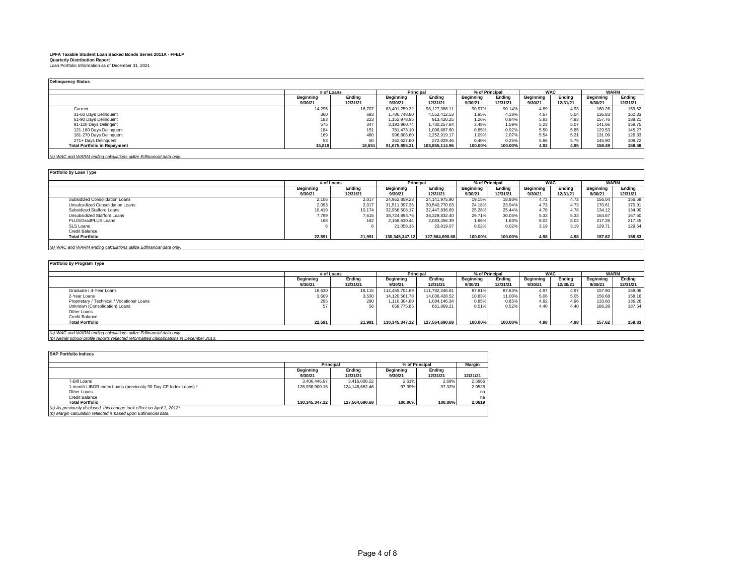| <b>Delinquency Status</b>           |                  |            |                  |                |                  |                |                  |            |           |             |  |
|-------------------------------------|------------------|------------|------------------|----------------|------------------|----------------|------------------|------------|-----------|-------------|--|
|                                     |                  | # of Loans |                  | Principal      |                  | % of Principal |                  | <b>WAC</b> |           | <b>WARM</b> |  |
|                                     | <b>Beginning</b> | Ending     | <b>Beginning</b> | Ending         | <b>Beginning</b> | Ending         | <b>Beginning</b> | Endina     | Beginning | Ending      |  |
|                                     | 9/30/21          | 12/31/21   | 9/30/21          | 12/31/21       | 9/30/21          | 12/31/21       | 9/30/21          | 12/31/21   | 9/30/21   | 12/31/21    |  |
| Current                             | 14,295           | 16,707     | 83,401,259.32    | 98,127,388.11  | 90.97%           | 90.14%         | 4.89             | 4.93       | 160.26    | 159.62      |  |
| 31-60 Days Delinquent               | 360              | 693        | 1.786.748.80     | 4.552.412.53   | 1.95%            | 4.18%          | 4.67             | 5.04       | 136.83    | 162.33      |  |
| 61-90 Days Delinquent               | 183              | 223        | 1.152.978.95     | 913.420.25     | 1.26%            | 0.84%          | 5.83             | 4.93       | 157.76    | 138.21      |  |
| 91-120 Days Delingent               | 575              | 347        | 3.193.960.74     | 1.730.257.84   | 3.48%            | 1.59%          | 5.23             | 5.07       | 141.66    | 159.75      |  |
| 121-180 Days Delinquent             | 184              | 151        | 781.473.10       | 1,006,687.60   | 0.85%            | 0.92%          | 5.50             | 5.85       | 129.53    | 145.27      |  |
| 181-270 Days Delinquent             | 169              | 480        | 996.806.60       | 2.252.919.17   | 1.09%            | 2.07%          | 5.54             | 5.21       | 131.09    | 126.33      |  |
| 271+ Days Delinquent                | 53               | 50         | 362.627.80       | 272.029.46     | 0.40%            | 0.25%          | 5.86             | 5.75       | 145.90    | 108.72      |  |
| <b>Total Portfolio in Repayment</b> | 15,819           | 18,651     | 91,675,855.31    | 108,855,114.96 | 100.00%          | 100.00%        | 4.92             | 4.95       | 158.49    | 158.58      |  |
|                                     |                  |            |                  |                |                  |                |                  |            |           |             |  |

*(a) WAC and WARM ending calculations utilize Edfinancial data only.*

### **Portfolio by Loan Type**

|                                    | # of Loans          |          | Principal        |                | % of Principal |          | <b>WAC</b>       |          |           | <b>WARM</b>        |
|------------------------------------|---------------------|----------|------------------|----------------|----------------|----------|------------------|----------|-----------|--------------------|
|                                    | Endina<br>Beginning |          | <b>Beginning</b> | Endina         | Beainnina      | Endina   | <b>Beginning</b> | Endina   | Beginning | Endina             |
|                                    | 9/30/21             | 12/31/21 | 9/30/21          | 12/31/21       | 9/30/21        | 12/31/21 | 9/30/21          | 12/31/21 | 9/30/21   | 12/31/21           |
| Subsidized Consolidation Loans     | 2.106               | 2.017    | 24.962.859.23    | 24.141.975.90  | 19.15%         | 18.93%   | 4.72             | 4.72     | 156.04    | 156.58             |
| Unsubsidized Consolidation Loans   | 2,093               | 2,017    | 31.511.397.36    | 30.540.770.03  | 24.18%         | 23.94%   | 4.73             | 4.73     | 170.61    | 170.9 <sup>°</sup> |
| Subsidized Stafford Loans          | 10.419              | 10.174   | 32.956.508.17    | 32.447.836.89  | 25.28%         | 25.44%   | 4.78             | 4.78     | 134.12    | 134.90             |
| <b>Unsubsidized Stafford Loans</b> | 7,799               | 7,615    | 38.724.893.76    | 38,329,832.40  | 29.71%         | 30.05%   | 5.33             | 5.33     | 164.67    | 167.60             |
| PLUS/GradPLUS Loans                | 168                 | 162      | 2,168,630.44     | 2.083.456.39   | 1.66%          | 1.63%    | 8.02             | 8.02     | 217.26    | 217.45             |
| SLS Loans                          |                     |          | 21.058.16        | 20.819.07      | 0.02%          | 0.02%    | 3.19             | 3.19     | 129.71    | 129.54             |
| Credit Balance                     |                     |          |                  |                |                |          |                  |          |           |                    |
| <b>Total Portfolio</b>             | 22,591              | 21,991   | 130.345.347.12   | 127.564.690.68 | 100.00%        | 100.00%  | 4.98             | 4.98     | 157.62    | 158.83             |
|                                    |                     |          |                  |                |                |          |                  |          |           |                    |

*(a) WAC and WARM ending calculations utilize Edfinancial data only.*

# **Portfolio by Program Type**

|                                            |           | # of Loans |                | <b>Principal</b>           |         | % of Principal             |         | <b>WAC</b> |                  | <b>WARM</b> |
|--------------------------------------------|-----------|------------|----------------|----------------------------|---------|----------------------------|---------|------------|------------------|-------------|
|                                            | Beginning | Ending     |                | Endina<br><b>Beginning</b> |         | <b>Beginning</b><br>Endina |         | Endina     | <b>Beginning</b> | Endina      |
|                                            | 9/30/21   | 12/31/21   | 9/30/21        | 12/31/21                   | 9/30/21 | 12/31/21                   | 9/30/21 | 12/30/21   | 9/30/21          | 12/31/21    |
| Graduate / 4-Year Loans                    | 18,630    | 18,115     | 114,455,704.69 | 111.782.246.61             | 87.81%  | 87.63%                     | 4.97    | 4.97       | 157.90           | 159.06      |
| 2-Year Loans                               | 3,609     | 3,530      | 14.120.561.78  | 14.036.428.52              | 10.83%  | 11.00%                     | 5.06    | 5.05       | 156.68           | 158.16      |
| Proprietary / Technical / Vocational Loans | 295       | 290        | 1.110.304.80   | 1.084.146.34               | 0.85%   | 0.85%                      | 4.92    | 4.96       | 133.60           | 136.26      |
| Unknown (Consolidation) Loans              |           | 56         | 658,775.85     | 661.869.21                 | 0.51%   | 0.52%                      | 4.40    | 4.40       | 186.28           | 187.64      |
| Other Loans                                |           |            |                |                            |         |                            |         |            |                  |             |
| Credit Balance                             |           |            |                |                            |         |                            |         |            |                  |             |
| <b>Total Portfolio</b>                     | 22,591    | 21,991     | 130,345,347.12 | 127,564,690.68             | 100.00% | 100.00%                    | 4.98    | 4.98       | 157.62           | 158.83      |
|                                            |           |            |                |                            |         |                            |         |            |                  |             |

*(a) WAC and WARM ending calculations utilize Edfinancial data only. (b) Nelnet school profile reports reflected reformatted classifications in December 2013.* 

| <b>SAP Portfolio Indices</b>                                           |                  |                |                |          |          |
|------------------------------------------------------------------------|------------------|----------------|----------------|----------|----------|
|                                                                        | <b>Principal</b> |                | % of Principal | Margin   |          |
|                                                                        | Beginning        | Endina         | Beginning      | Endina   |          |
|                                                                        | 9/30/21          | 12/31/21       | 9/30/21        | 12/31/21 | 12/31/21 |
| T-Bill Loans                                                           | 3.406.446.97     | 3.416.008.22   | 2.61%          | 2.68%    | 2.5866   |
| 1-month LIBOR Index Loans (previously 90-Day CP Index Loans) *         | 126.938.900.15   | 124.148.682.46 | 97.39%         | 97.32%   | 2.0528   |
| Other Loans                                                            |                  |                |                |          | na       |
| Credit Balance                                                         |                  |                |                |          | na       |
| <b>Total Portfolio</b>                                                 | 130.345.347.12   | 127.564.690.68 | 100.00%        | 100.00%  | 2.0619   |
| (a) As previously disclosed, this change took effect on April 1, 2012* |                  |                |                |          |          |
| (b) Margin calculation reflected is based upon Edfinancial data.       |                  |                |                |          |          |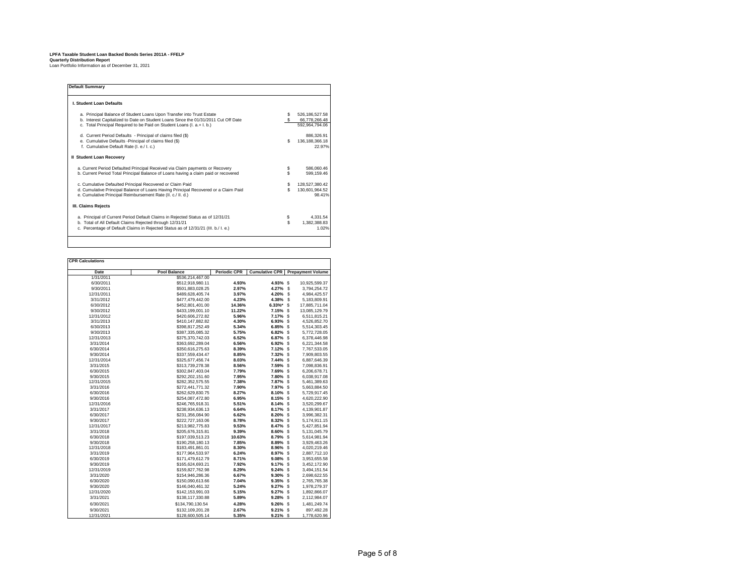| <b>Default Summarv</b>                                                                                                                                                                                                                |           |                                                   |
|---------------------------------------------------------------------------------------------------------------------------------------------------------------------------------------------------------------------------------------|-----------|---------------------------------------------------|
| I. Student Loan Defaults                                                                                                                                                                                                              |           |                                                   |
| a. Principal Balance of Student Loans Upon Transfer into Trust Estate<br>b. Interest Capitalized to Date on Student Loans Since the 01/31/2011 Cut Off Date<br>c. Total Principal Required to be Paid on Student Loans (I. a.+ I. b.) |           | 526.186.527.58<br>66,778,266.48<br>592.964.794.06 |
| d. Current Period Defaults - Principal of claims filed (\$)<br>e. Cumulative Defaults - Principal of claims filed (\$)<br>f. Cumulative Default Rate (I. e./ I. c.)                                                                   | S         | 886,326.91<br>136, 188, 366. 18<br>22.97%         |
| II Student Loan Recovery                                                                                                                                                                                                              |           |                                                   |
| a. Current Period Defaulted Principal Received via Claim payments or Recovery<br>b. Current Period Total Principal Balance of Loans having a claim paid or recovered                                                                  | \$<br>\$. | 586.060.46<br>599.159.46                          |
| c. Cumulative Defaulted Principal Recovered or Claim Paid<br>d. Cumulative Principal Balance of Loans Having Principal Recovered or a Claim Paid<br>e. Cumulative Principal Reimbursement Rate (II. c./ II. d.)                       | S<br>\$   | 128,527,380.42<br>130,601,964.52<br>98.41%        |
| III. Claims Rejects                                                                                                                                                                                                                   |           |                                                   |
| a. Principal of Current Period Default Claims in Rejected Status as of 12/31/21<br>b. Total of All Default Claims Rejected through 12/31/21<br>c. Percentage of Default Claims in Rejected Status as of 12/31/21 (III. b./ I. e.)     | Ś         | 4.331.54<br>1,382,388.83<br>1.02%                 |

| Date       | <b>Pool Balance</b> | <b>Periodic CPR</b> | <b>Cumulative CPR</b> | <b>Prepayment Volume</b>      |
|------------|---------------------|---------------------|-----------------------|-------------------------------|
| 1/31/2011  | \$536,214,467.00    |                     |                       |                               |
| 6/30/2011  | \$512,918,980.11    | 4.93%               | 4.93% \$              | 10,925,599.37                 |
| 9/30/2011  | \$501.883.028.25    | 2.97%               | 4.27% S               | 3.794.254.72                  |
| 12/31/2011 | \$489,628,405.74    | 3.97%               | 4.20%                 | s<br>4,984,425.57             |
| 3/31/2012  | \$477,479,442.00    | 4.23%               | 4.38%                 | s<br>5,183,809.91             |
| 6/30/2012  | \$452,801,401.00    | 14.36%              | $6.33\%$ * \$         | 17.885.711.04                 |
| 9/30/2012  | \$433,199,001.10    | 11.22%              | 7.15%                 | \$<br>13,085,129.79           |
| 12/31/2012 | \$420,606,272.82    | 5.96%               | 7.17% \$              | 6,511,815.21                  |
| 3/31/2013  | \$410.147.882.82    | 4.30%               | 6.93% \$              | 4.526.852.70                  |
| 6/30/2013  | \$398,817,252.49    | 5.34%               | 6.85%                 | \$<br>5,514,303.45            |
| 9/30/2013  | \$387.335.085.32    | 5.75%               | 6.82%                 | <sub>\$</sub><br>5.772.728.05 |
| 12/31/2013 | \$375,370,742.03    | 6.52%               | 6.87%                 | \$<br>6,378,446.98            |
| 3/31/2014  | \$363,692,289.04    | 6.56%               | 6.92% \$              | 6,221,344.58                  |
| 6/30/2014  | \$350,616,275.63    | 8.39%               | 7.12% \$              | 7.767.533.05                  |
| 9/30/2014  | \$337,559,434.47    | 8.85%               | 7.32% \$              | 7,909,803.55                  |
| 12/31/2014 | \$325,677,456.74    | 8.03%               | 7.44% \$              | 6,887,646.39                  |
| 3/31/2015  | \$313,739,278.38    | 8.56%               | 7.59%                 | \$<br>7.098.836.91            |
| 6/30/2015  | \$302,847,403.04    | 7.79%               | 7.69% \$              | 6,206,678.71                  |
| 9/30/2015  | \$292,202,151.60    | 7.95%               | 7.80%                 | \$<br>6,038,917.08            |
| 12/31/2015 | \$282.352.575.55    | 7.38%               | 7.87% \$              | 5.461.389.63                  |
| 3/31/2016  | \$272,441,771.32    | 7.90%               | 7.97% \$              | 5,663,884.50                  |
| 6/30/2016  | \$262.629.830.75    | 8.27%               | 8.10% \$              | 5.729.917.45                  |
| 9/30/2016  | \$254,087,472.80    | 6.95%               | 8.15% \$              | 4,620,222.90                  |
| 12/31/2016 | \$246,765,918.31    | 5.51%               | 8.14% \$              | 3,520,299.67                  |
| 3/31/2017  | \$238.934.636.13    | 6.64%               | 8.17% \$              | 4.139.901.87                  |
| 6/30/2017  | \$231,356,084.90    | 6.62%               | 8.20%                 | \$<br>3,996,382.31            |
| 9/30/2017  | \$222,727,163.06    | 8.78%               | 8.32% \$              | 5,174,911.15                  |
| 12/31/2017 | \$213.982.775.83    | 9.53%               | 8.47% \$              | 5.427.851.94                  |
| 3/31/2018  | \$205,676,315.81    | 9.39%               | 8.60%                 | \$<br>5, 131, 045.79          |
| 6/30/2018  | \$197.039.513.23    | 10.63%              | 8.79% \$              | 5.614.981.94                  |
| 9/30/2018  | \$190,258,180.13    | 7.85%               | 8.89%                 | \$<br>3,929,463.26            |
| 12/31/2018 | \$183,491,861.01    | 8.30%               | 8.96% \$              | 4,020,219.46                  |
| 3/31/2019  | \$177.964.533.97    | 6.24%               | 8.97% \$              | 2.887.712.10                  |
| 6/30/2019  | \$171,479,612.79    | 8.71%               | 9.08%                 | \$<br>3,953,655.58            |
| 9/30/2019  | \$165,624,693.21    | 7.92%               | 9.17% \$              | 3,452,172.90                  |
| 12/31/2019 | \$159.827.762.98    | 8.29%               | $9.24\%$ \$           | 3.494.151.54                  |
| 3/31/2020  | \$154,946,286.36    | 6.67%               | 9.30% \$              | 2,698,622.55                  |
| 6/30/2020  | \$150,090,613.66    | 7.04%               | 9.35% \$              | 2,765,765.38                  |
| 9/30/2020  | \$146,040,461.32    | 5.24%               | 9.27% \$              | 1,978,279.37                  |
| 12/31/2020 | \$142,153,991.03    | 5.15%               | 9.27%                 | \$<br>1,892,866.07            |
| 3/31/2021  | \$138,117,330.88    | 5.89%               | 9.28%                 | \$<br>2,112,984.07            |
| 6/30/2021  | \$134,790,130.54    | 4.28%               | 9.26% \$              | 1,481,249.74                  |
| 9/30/2021  | \$132,109,201.28    | 2.67%               | $9.21\%$ \$           | 897,492.28                    |
| 12/31/2021 | \$128,600,505.14    | 5.35%               | $9.21\%$ \$           | 1,778,620.96                  |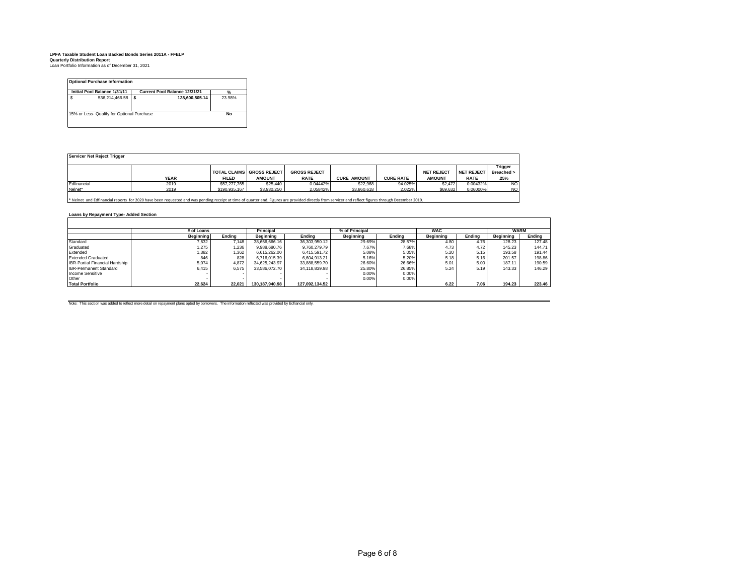| <b>Initial Pool Balance 1/31/11</b><br><b>Current Pool Balance 12/31/21</b> |                |   | %              |           |
|-----------------------------------------------------------------------------|----------------|---|----------------|-----------|
| s                                                                           | 536.214.466.58 | S | 128.600.505.14 | 23.98%    |
| 15% or Less- Qualify for Optional Purchase                                  |                |   |                | <b>No</b> |

| Servicer Net Reject Trigger |             |               |                                                   |                                    |                    |                  |                                    |                                  |                                 |  |  |
|-----------------------------|-------------|---------------|---------------------------------------------------|------------------------------------|--------------------|------------------|------------------------------------|----------------------------------|---------------------------------|--|--|
|                             | <b>YEAR</b> | <b>FILED</b>  | <b>TOTAL CLAIMS GROSS REJECT</b><br><b>AMOUNT</b> | <b>GROSS REJECT</b><br><b>RATE</b> | <b>CURE AMOUNT</b> | <b>CURE RATE</b> | <b>NET REJECT</b><br><b>AMOUNT</b> | <b>NET REJECT</b><br><b>RATE</b> | Trigger<br>Breached >  <br>.25% |  |  |
| Edfinancial                 | 2019        | \$57,277,765  | \$25,440                                          | 0.04442%                           | \$22.968           | 94.025%          | \$2,472                            | 0.00432%                         | <b>NO</b>                       |  |  |
| Nelnet*                     | 2019        | \$190,935,167 | \$3,930,250                                       | 2.05842%                           | \$3,860,618        | 2.022%           | \$69,632                           | 0.06000%                         | <b>NO</b>                       |  |  |

\* Nelnet and Edfinancial reports for 2020 have been requested and was pending receipt at time of quarter end. Figures are provided directly from servicer and reflect figures through December 2019.

# **Loans by Repayment Type- Added Section**

|                                       | # of Loans       |        | Principal<br>% of Principal |                | <b>WAC</b>       |        |                  | WARM   |                  |        |
|---------------------------------------|------------------|--------|-----------------------------|----------------|------------------|--------|------------------|--------|------------------|--------|
|                                       | <b>Beginning</b> | Endina | Beainnina                   | Endina         | <b>Beginning</b> | Endina | <b>Beginning</b> | Endina | <b>Beginning</b> | Endina |
| Standard                              | 7.632            | 7.148  | 38.656.666.16               | 36.303.950.12  | 29.69%           | 28.57% | 4.80             | 4.76   | 128.23           | 127.48 |
| Graduated                             | 1.275            | 1.236  | 9.988.680.76                | 9.760.279.79   | 7.67%            | 7.68%  | 4.73             | 4.72   | 145.23           | 144.71 |
| Extended                              | 1.382            | 1.362  | 6.615.262.00                | 6.415.591.72   | 5.08%            | 5.05%  | 5.20             | 5.15   | 193.58           | 191.44 |
| <b>Extended Graduated</b>             | 846              | 828    | 6.716.015.39                | 6.604.913.21   | 5.16%            | 5.20%  | 5.18             | 5.16   | 201.57           | 198.86 |
| <b>IBR-Partial Financial Hardship</b> | 5.074            | 4.872  | 34,625,243.97               | 33.888.559.70  | 26.60%           | 26.66% | 5.01             | 5.00   | 187.11           | 190.59 |
| <b>IBR-Permanent Standard</b>         | 6.415            | 6.575  | 33.586.072.70               | 34.118.839.98  | 25.80%           | 26.85% | 5.24             | 5.19   | 143.33           | 146.29 |
| Income Sensitive                      |                  |        |                             |                | 0.00%            | 0.00%  |                  |        |                  |        |
| Other                                 |                  |        |                             |                | 0.00%            | 0.00%  |                  |        |                  |        |
| <b>Total Portfolio</b>                | 22.624           | 22.021 | 130.187.940.98              | 127.092.134.52 |                  |        | 6.22             | 7.06   | 194.23           | 223.46 |

Note: This section was added to reflect more detail on repayment plans opted by borrowers. The information reflected was provided by Edfiancial only.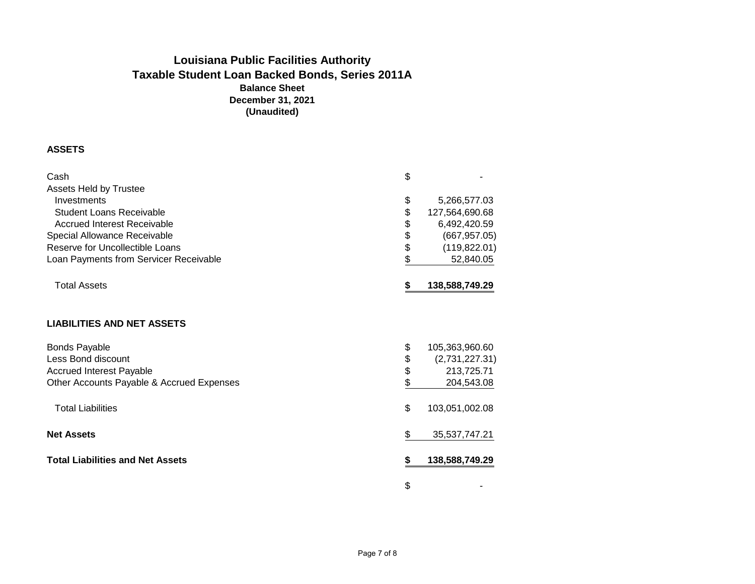# **Balance Sheet Louisiana Public Facilities Authority Taxable Student Loan Backed Bonds, Series 2011A December 31, 2021 (Unaudited)**

# **ASSETS**

| Cash<br><b>Assets Held by Trustee</b>     | \$ |                |
|-------------------------------------------|----|----------------|
| Investments                               | \$ | 5,266,577.03   |
| Student Loans Receivable                  | \$ | 127,564,690.68 |
| <b>Accrued Interest Receivable</b>        | \$ | 6,492,420.59   |
| Special Allowance Receivable              | \$ | (667, 957.05)  |
| Reserve for Uncollectible Loans           | \$ | (119, 822.01)  |
| Loan Payments from Servicer Receivable    | \$ | 52,840.05      |
|                                           |    |                |
| <b>Total Assets</b>                       | S  | 138,588,749.29 |
| <b>LIABILITIES AND NET ASSETS</b>         |    |                |
| <b>Bonds Payable</b>                      | \$ | 105,363,960.60 |
| Less Bond discount                        | \$ | (2,731,227.31) |
| <b>Accrued Interest Payable</b>           | \$ | 213,725.71     |
| Other Accounts Payable & Accrued Expenses | \$ | 204,543.08     |
| <b>Total Liabilities</b>                  | \$ | 103,051,002.08 |
| <b>Net Assets</b>                         | \$ | 35,537,747.21  |
| <b>Total Liabilities and Net Assets</b>   | S  | 138,588,749.29 |
|                                           | \$ |                |